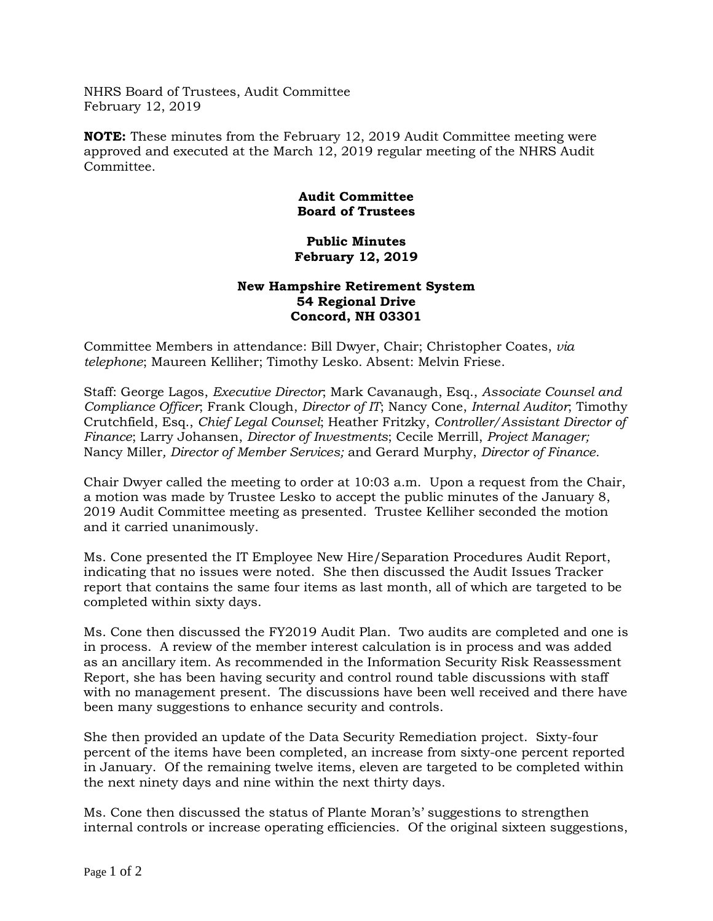NHRS Board of Trustees, Audit Committee February 12, 2019

**NOTE:** These minutes from the February 12, 2019 Audit Committee meeting were approved and executed at the March 12, 2019 regular meeting of the NHRS Audit Committee.

## **Audit Committee Board of Trustees**

## **Public Minutes February 12, 2019**

## **New Hampshire Retirement System 54 Regional Drive Concord, NH 03301**

Committee Members in attendance: Bill Dwyer, Chair; Christopher Coates, *via telephone*; Maureen Kelliher; Timothy Lesko. Absent: Melvin Friese.

Staff: George Lagos, *Executive Director*; Mark Cavanaugh, Esq., *Associate Counsel and Compliance Officer*; Frank Clough, *Director of IT*; Nancy Cone, *Internal Auditor*; Timothy Crutchfield, Esq., *Chief Legal Counsel*; Heather Fritzky, *Controller/Assistant Director of Finance*; Larry Johansen, *Director of Investments*; Cecile Merrill, *Project Manager;*  Nancy Miller*, Director of Member Services;* and Gerard Murphy, *Director of Finance.*

Chair Dwyer called the meeting to order at 10:03 a.m. Upon a request from the Chair, a motion was made by Trustee Lesko to accept the public minutes of the January 8, 2019 Audit Committee meeting as presented. Trustee Kelliher seconded the motion and it carried unanimously.

Ms. Cone presented the IT Employee New Hire/Separation Procedures Audit Report, indicating that no issues were noted. She then discussed the Audit Issues Tracker report that contains the same four items as last month, all of which are targeted to be completed within sixty days.

Ms. Cone then discussed the FY2019 Audit Plan. Two audits are completed and one is in process. A review of the member interest calculation is in process and was added as an ancillary item. As recommended in the Information Security Risk Reassessment Report, she has been having security and control round table discussions with staff with no management present. The discussions have been well received and there have been many suggestions to enhance security and controls.

She then provided an update of the Data Security Remediation project. Sixty-four percent of the items have been completed, an increase from sixty-one percent reported in January. Of the remaining twelve items, eleven are targeted to be completed within the next ninety days and nine within the next thirty days.

Ms. Cone then discussed the status of Plante Moran's' suggestions to strengthen internal controls or increase operating efficiencies. Of the original sixteen suggestions,